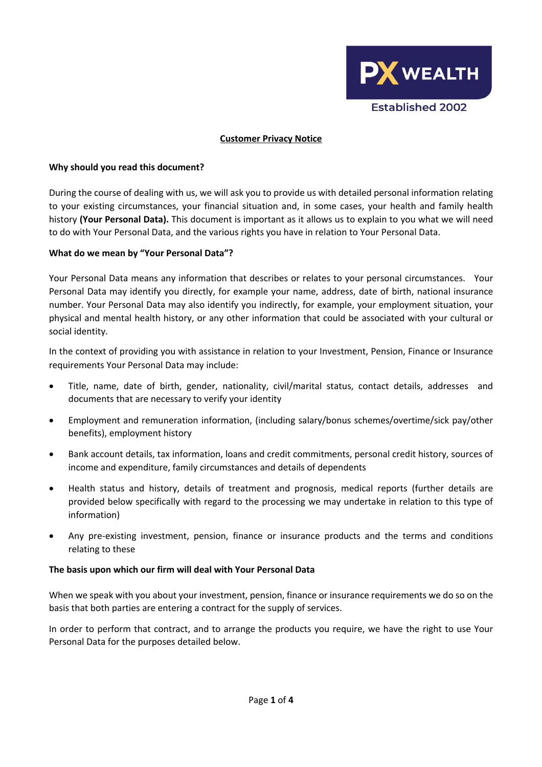

#### **Customer Privacy Notice**

#### **Why should you read this document?**

During the course of dealing with us, we will ask you to provide us with detailed personal information relating to your existing circumstances, your financial situation and, in some cases, your health and family health history **(Your Personal Data).** This document is important as it allows us to explain to you what we will need to do with Your Personal Data, and the various rights you have in relation to Your Personal Data.

#### **What do we mean by "Your Personal Data"?**

Your Personal Data means any information that describes or relates to your personal circumstances. Your Personal Data may identify you directly, for example your name, address, date of birth, national insurance number. Your Personal Data may also identify you indirectly, for example, your employment situation, your physical and mental health history, or any other information that could be associated with your cultural or social identity.

In the context of providing you with assistance in relation to your Investment, Pension, Finance or Insurance requirements Your Personal Data may include:

- Title, name, date of birth, gender, nationality, civil/marital status, contact details, addresses and documents that are necessary to verify your identity
- Employment and remuneration information, (including salary/bonus schemes/overtime/sick pay/other benefits), employment history
- Bank account details, tax information, loans and credit commitments, personal credit history, sources of income and expenditure, family circumstances and details of dependents
- Health status and history, details of treatment and prognosis, medical reports (further details are provided below specifically with regard to the processing we may undertake in relation to this type of information)
- Any pre-existing investment, pension, finance or insurance products and the terms and conditions relating to these

#### **The basis upon which our firm will deal with Your Personal Data**

When we speak with you about your investment, pension, finance or insurance requirements we do so on the basis that both parties are entering a contract for the supply of services.

In order to perform that contract, and to arrange the products you require, we have the right to use Your Personal Data for the purposes detailed below.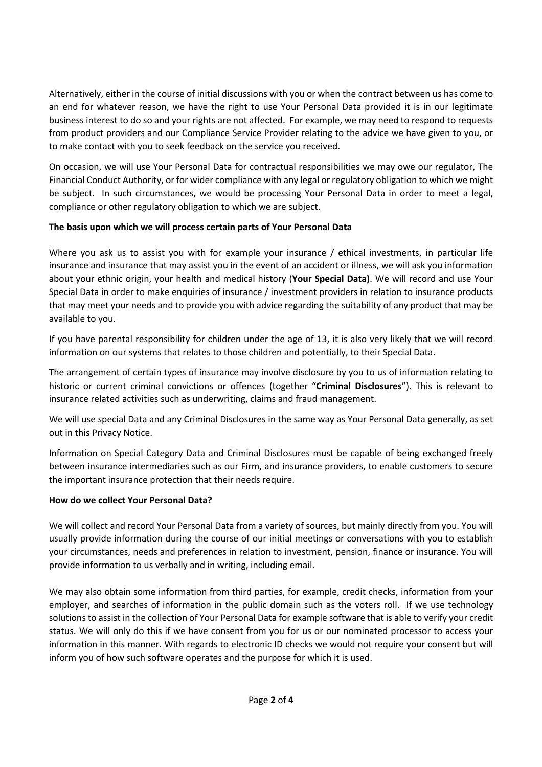Alternatively, either in the course of initial discussions with you or when the contract between us has come to an end for whatever reason, we have the right to use Your Personal Data provided it is in our legitimate business interest to do so and your rights are not affected. For example, we may need to respond to requests from product providers and our Compliance Service Provider relating to the advice we have given to you, or to make contact with you to seek feedback on the service you received.

On occasion, we will use Your Personal Data for contractual responsibilities we may owe our regulator, The Financial Conduct Authority, or for wider compliance with any legal or regulatory obligation to which we might be subject. In such circumstances, we would be processing Your Personal Data in order to meet a legal, compliance or other regulatory obligation to which we are subject.

# **The basis upon which we will process certain parts of Your Personal Data**

Where you ask us to assist you with for example your insurance / ethical investments, in particular life insurance and insurance that may assist you in the event of an accident or illness, we will ask you information about your ethnic origin, your health and medical history (**Your Special Data)**. We will record and use Your Special Data in order to make enquiries of insurance / investment providers in relation to insurance products that may meet your needs and to provide you with advice regarding the suitability of any product that may be available to you.

If you have parental responsibility for children under the age of 13, it is also very likely that we will record information on our systems that relates to those children and potentially, to their Special Data.

The arrangement of certain types of insurance may involve disclosure by you to us of information relating to historic or current criminal convictions or offences (together "**Criminal Disclosures**"). This is relevant to insurance related activities such as underwriting, claims and fraud management.

We will use special Data and any Criminal Disclosures in the same way as Your Personal Data generally, as set out in this Privacy Notice.

Information on Special Category Data and Criminal Disclosures must be capable of being exchanged freely between insurance intermediaries such as our Firm, and insurance providers, to enable customers to secure the important insurance protection that their needs require.

## **How do we collect Your Personal Data?**

We will collect and record Your Personal Data from a variety of sources, but mainly directly from you. You will usually provide information during the course of our initial meetings or conversations with you to establish your circumstances, needs and preferences in relation to investment, pension, finance or insurance. You will provide information to us verbally and in writing, including email.

We may also obtain some information from third parties, for example, credit checks, information from your employer, and searches of information in the public domain such as the voters roll. If we use technology solutions to assist in the collection of Your Personal Data for example software that is able to verify your credit status. We will only do this if we have consent from you for us or our nominated processor to access your information in this manner. With regards to electronic ID checks we would not require your consent but will inform you of how such software operates and the purpose for which it is used.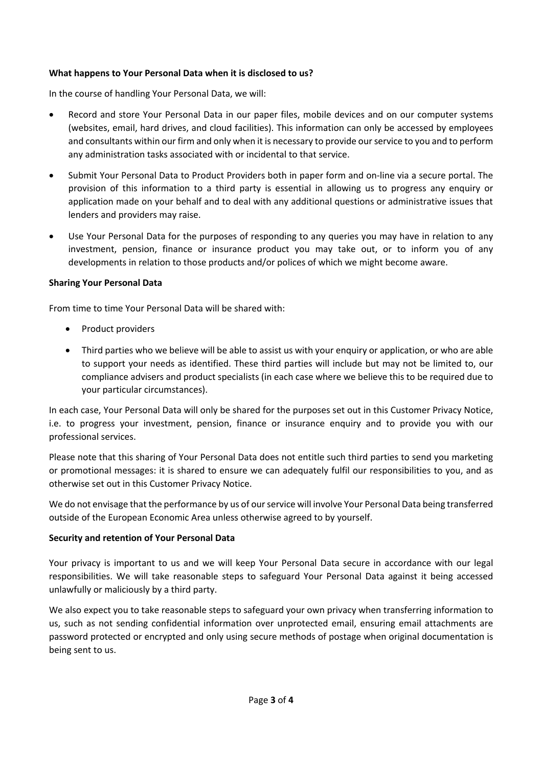## **What happens to Your Personal Data when it is disclosed to us?**

In the course of handling Your Personal Data, we will:

- Record and store Your Personal Data in our paper files, mobile devices and on our computer systems (websites, email, hard drives, and cloud facilities). This information can only be accessed by employees and consultants within our firm and only when it is necessary to provide our service to you and to perform any administration tasks associated with or incidental to that service.
- Submit Your Personal Data to Product Providers both in paper form and on-line via a secure portal. The provision of this information to a third party is essential in allowing us to progress any enquiry or application made on your behalf and to deal with any additional questions or administrative issues that lenders and providers may raise.
- Use Your Personal Data for the purposes of responding to any queries you may have in relation to any investment, pension, finance or insurance product you may take out, or to inform you of any developments in relation to those products and/or polices of which we might become aware.

## **Sharing Your Personal Data**

From time to time Your Personal Data will be shared with:

- Product providers
- Third parties who we believe will be able to assist us with your enquiry or application, or who are able to support your needs as identified. These third parties will include but may not be limited to, our compliance advisers and product specialists (in each case where we believe this to be required due to your particular circumstances).

In each case, Your Personal Data will only be shared for the purposes set out in this Customer Privacy Notice, i.e. to progress your investment, pension, finance or insurance enquiry and to provide you with our professional services.

Please note that this sharing of Your Personal Data does not entitle such third parties to send you marketing or promotional messages: it is shared to ensure we can adequately fulfil our responsibilities to you, and as otherwise set out in this Customer Privacy Notice.

We do not envisage that the performance by us of our service will involve Your Personal Data being transferred outside of the European Economic Area unless otherwise agreed to by yourself.

## **Security and retention of Your Personal Data**

Your privacy is important to us and we will keep Your Personal Data secure in accordance with our legal responsibilities. We will take reasonable steps to safeguard Your Personal Data against it being accessed unlawfully or maliciously by a third party.

We also expect you to take reasonable steps to safeguard your own privacy when transferring information to us, such as not sending confidential information over unprotected email, ensuring email attachments are password protected or encrypted and only using secure methods of postage when original documentation is being sent to us.